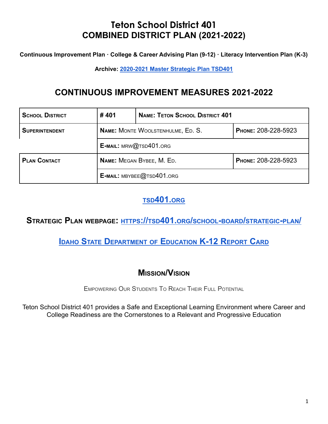**Continuous Improvement Plan · College & Career Advising Plan (9-12) · Literacy Intervention Plan (K-3)**

**Archive: [2020-2021](https://tsd401.org/wp-content/plugins/download-attachments/includes/download.php?id=157515) Master Strategic Plan TSD401**

# **CONTINUOUS IMPROVEMENT MEASURES 2021-2022**

| <b>SCHOOL DISTRICT</b> | #401                      | <b>NAME: TETON SCHOOL DISTRICT 401</b>   |                     |  |  |
|------------------------|---------------------------|------------------------------------------|---------------------|--|--|
| <b>SUPERINTENDENT</b>  |                           | <b>NAME:</b> MONTE WOOLSTENHULME, ED. S. | PHONE: 208-228-5923 |  |  |
|                        | E-MAIL: MRW@TSD401.ORG    |                                          |                     |  |  |
| <b>PLAN CONTACT</b>    | NAME: MEGAN BYBEE, M. ED. |                                          | PHONE: 208-228-5923 |  |  |
|                        |                           | E-MAIL: MBYBEE@TSD401.ORG                |                     |  |  |

# **TSD[401.](https://tsd401.org/)ORG**

# **STRATEGIC PLAN WEBPAGE: HTTPS://TSD401.ORG/SCHOOL-BOARD/[STRATEGIC](https://tsd401.org/school-board/strategic-plan/)-PLAN/**

# **IDAHO STATE D[EPARTMENT](https://apps.sde.idaho.gov/ReportCard/) OF EDUCATION K-12 REPORT CARD**

# **MISSION/VISION**

EMPOWERING OUR STUDENTS T<sup>O</sup> REACH THEIR FULL POTENTIAL

Teton School District 401 provides a Safe and Exceptional Learning Environment where Career and College Readiness are the Cornerstones to a Relevant and Progressive Education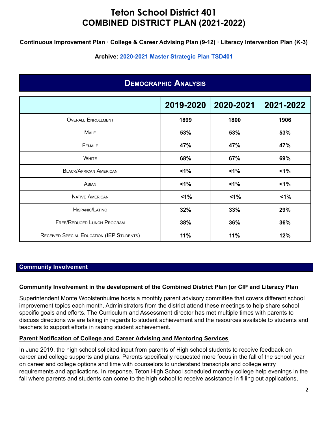**Continuous Improvement Plan · College & Career Advising Plan (9-12) · Literacy Intervention Plan (K-3)**

**Archive: [2020-2021](https://tsd401.org/wp-content/plugins/download-attachments/includes/download.php?id=157515) Master Strategic Plan TSD401**

# **DEMOGRAPHIC ANALYSIS**

|                                           | 2019-2020 | 2020-2021 | 2021-2022 |
|-------------------------------------------|-----------|-----------|-----------|
| <b>OVERALL ENROLLMENT</b>                 | 1899      | 1800      | 1906      |
| <b>MALE</b>                               | 53%       | 53%       | 53%       |
| FEMALE                                    | 47%       | 47%       | 47%       |
| <b>WHITE</b>                              | 68%       | 67%       | 69%       |
| <b>BLACK/AFRICAN AMERICAN</b>             | 1%        | $1\%$     | $1\%$     |
| ASIAN                                     | $1\%$     | $1\%$     | $1\%$     |
| <b>NATIVE AMERICAN</b>                    | $1\%$     | $1\%$     | 1%        |
| HISPANIC/LATINO                           | 32%       | 33%       | 29%       |
| <b>FREE/REDUCED LUNCH PROGRAM</b>         | 38%       | 36%       | 36%       |
| RECEIVED SPECIAL EDUCATION (IEP STUDENTS) | 11%       | 11%       | 12%       |

#### **Community Involvement**

#### **Community Involvement in the development of the Combined District Plan (or CIP and Literacy Plan**

Superintendent Monte Woolstenhulme hosts a monthly parent advisory committee that covers different school improvement topics each month. Administrators from the district attend these meetings to help share school specific goals and efforts. The Curriculum and Assessment director has met multiple times with parents to discuss directions we are taking in regards to student achievement and the resources available to students and teachers to support efforts in raising student achievement.

#### **Parent Notification of College and Career Advising and Mentoring Services**

In June 2019, the high school solicited input from parents of High school students to receive feedback on career and college supports and plans. Parents specifically requested more focus in the fall of the school year on career and college options and time with counselors to understand transcripts and college entry requirements and applications. In response, Teton High School scheduled monthly college help evenings in the fall where parents and students can come to the high school to receive assistance in filling out applications,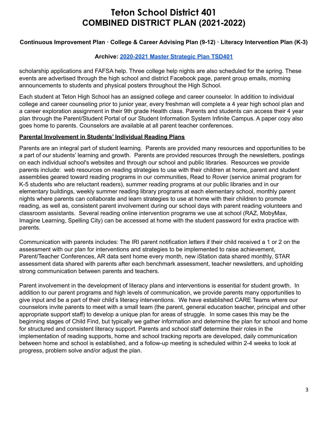### **Continuous Improvement Plan · College & Career Advising Plan (9-12) · Literacy Intervention Plan (K-3)**

#### **Archive: [2020-2021](https://tsd401.org/wp-content/plugins/download-attachments/includes/download.php?id=157515) Master Strategic Plan TSD401**

scholarship applications and FAFSA help. Three college help nights are also scheduled for the spring. These events are advertised through the high school and district Facebook page, parent group emails, morning announcements to students and physical posters throughout the High School.

Each student at Teton High School has an assigned college and career counselor. In addition to individual college and career counseling prior to junior year, every freshman will complete a 4 year high school plan and a career exploration assignment in their 9th grade Health class. Parents and students can access their 4 year plan through the Parent/Student Portal of our Student Information System Infinite Campus. A paper copy also goes home to parents. Counselors are available at all parent teacher conferences.

#### **Parental Involvement in Students' Individual Reading Plans**

Parents are an integral part of student learning. Parents are provided many resources and opportunities to be a part of our students' learning and growth. Parents are provided resources through the newsletters, postings on each individual school's websites and through our school and public libraries. Resources we provide parents include: web resources on reading strategies to use with their children at home, parent and student assemblies geared toward reading programs in our communities, Read to Rover (service animal program for K-5 students who are reluctant readers), summer reading programs at our public libraries and in our elementary buildings, weekly summer reading library programs at each elementary school, monthly parent nights where parents can collaborate and learn strategies to use at home with their children to promote reading, as well as, consistent parent involvement during our school days with parent reading volunteers and classroom assistants. Several reading online intervention programs we use at school (RAZ, MobyMax, Imagine Learning, Spelling City) can be accessed at home with the student password for extra practice with parents.

Communication with parents includes: The IRI parent notification letters if their child received a 1 or 2 on the assessment with our plan for interventions and strategies to be implemented to raise achievement, Parent/Teacher Conferences, AR data sent home every month, new iStation data shared monthly, STAR assessment data shared with parents after each benchmark assessment, teacher newsletters, and upholding strong communication between parents and teachers.

Parent involvement in the development of literacy plans and interventions is essential for student growth. In addition to our parent programs and high levels of communication, we provide parents many opportunities to give input and be a part of their child's literacy interventions. We have established CARE Teams where our counselors invite parents to meet with a small team (the parent, general education teacher, principal and other appropriate support staff) to develop a unique plan for areas of struggle. In some cases this may be the beginning stages of Child Find, but typically we gather information and determine the plan for school and home for structured and consistent literacy support. Parents and school staff determine their roles in the implementation of reading supports, home and school tracking reports are developed, daily communication between home and school is established, and a follow-up meeting is scheduled within 2-4 weeks to look at progress, problem solve and/or adjust the plan.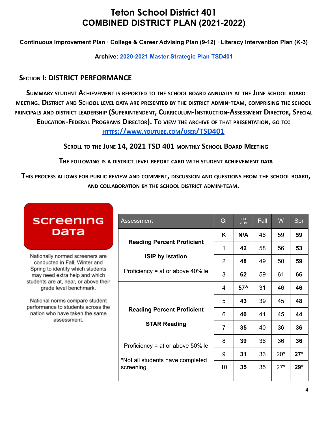**Continuous Improvement Plan · College & Career Advising Plan (9-12) · Literacy Intervention Plan (K-3)**

**Archive: [2020-2021](https://tsd401.org/wp-content/plugins/download-attachments/includes/download.php?id=157515) Master Strategic Plan TSD401**

## **SECTION I: DISTRICT PERFORMANCE**

**SUMMARY STUDENT ACHIEVEMENT IS REPORTED TO THE SCHOOL BOARD ANNUALLY AT THE JUNE SCHOOL BOARD** MEETING. DISTRICT AND SCHOOL LEVEL DATA ARE PRESENTED BY THE DISTRICT ADMIN-TEAM, COMPRISING THE SCHOOL **PRINCIPALS AND DISTRICT LEADERSHIP (SUPERINTENDENT, CURRICULUM-INSTRUCTION-ASSESSMENT DIRECTOR, SPECIAL** EDUCATION-FEDERAL PROGRAMS DIRECTOR). TO VIEW THE ARCHIVE OF THAT PRESENTATION, GO TO:

**HTTPS://WWW.YOUTUBE.COM/USER[/TSD401](https://www.youtube.com/user/TSD401)**

**SCROLL TO THE JUNE 14, 2021 TSD 401 MONTHLY SCHOOL BOARD MEETING**

**THE FOLLOWING IS <sup>A</sup> DISTRICT LEVEL REPORT CARD WITH STUDENT ACHIEVEMENT DATA**

**THIS PROCESS ALLOWS FOR PUBLIC REVIEW AND COMMENT, DISCUSSION AND QUESTIONS FROM THE SCHOOL BOARD, AND COLLABORATION BY THE SCHOOL DISTRICT ADMIN-TEAM.**

| screening                                                                                                             | Assessment                                               |                |       |    | W     | Spr   |
|-----------------------------------------------------------------------------------------------------------------------|----------------------------------------------------------|----------------|-------|----|-------|-------|
| рата                                                                                                                  |                                                          | K              | N/A   | 46 | 59    | 59    |
|                                                                                                                       | <b>Reading Percent Proficient</b>                        |                | 42    | 58 | 56    | 53    |
| Nationally normed screeners are<br><b>ISIP by Istation</b><br>conducted in Fall, Winter and                           | $\overline{2}$                                           | 48             | 49    | 50 | 59    |       |
| Spring to identify which students<br>may need extra help and which                                                    | Proficiency = at or above $40\%$ ile                     | 3              | 62    | 59 | 61    | 66    |
| students are at, near, or above their<br>grade level benchmark.                                                       |                                                          | 4              | $57^$ | 31 | 46    | 46    |
| National norms compare student<br>performance to students across the<br>nation who have taken the same<br>assessment. |                                                          | 5              | 43    | 39 | 45    | 48    |
|                                                                                                                       | <b>Reading Percent Proficient</b><br><b>STAR Reading</b> | 6              | 40    | 41 | 45    | 44    |
|                                                                                                                       |                                                          | $\overline{7}$ | 35    | 40 | 36    | 36    |
|                                                                                                                       | Proficiency = at or above $50\%$ ile                     | 8              | 39    | 36 | 36    | 36    |
| screening                                                                                                             |                                                          | 9              | 31    | 33 | $20*$ | $27*$ |
|                                                                                                                       | *Not all students have completed                         | 10             | 35    | 35 | $27*$ | $29*$ |
|                                                                                                                       |                                                          |                |       |    |       |       |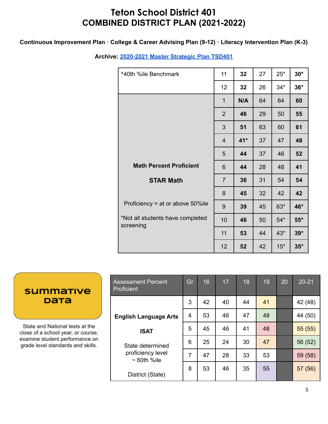### **Continuous Improvement Plan · College & Career Advising Plan (9-12) · Literacy Intervention Plan (K-3)**

**Archive: [2020-2021](https://tsd401.org/wp-content/plugins/download-attachments/includes/download.php?id=157515) Master Strategic Plan TSD401**

| ^40th %ile Benchmark                          | 11             | 32    | 27 | $25*$ | $30*$ |
|-----------------------------------------------|----------------|-------|----|-------|-------|
|                                               | 12             | 32    | 26 | $34*$ | $36*$ |
|                                               | $\mathbf{1}$   | N/A   | 64 | 64    | 60    |
|                                               | $\overline{2}$ | 46    | 29 | 50    | 55    |
|                                               | 3              | 51    | 63 | 60    | 61    |
|                                               | $\overline{4}$ | $41*$ | 37 | 47    | 48    |
|                                               | 5              | 44    | 37 | 46    | 52    |
| <b>Math Percent Proficient</b>                | 6              | 44    | 28 | 48    | 41    |
| <b>STAR Math</b>                              | $\overline{7}$ | 36    | 31 | 54    | 54    |
|                                               | 8              | 45    | 32 | 42    | 42    |
| Proficiency = at or above 50%ile              | 9              | 39    | 45 | $63*$ | 46*   |
| *Not all students have completed<br>screening | 10             | 46    | 50 | $54*$ | $55*$ |
|                                               | 11             | 53    | 44 | $43*$ | $39*$ |
|                                               | 12             | 52    | 42 | $15*$ | $35*$ |

# **summative** рата

State and National tests at the close of a school year, or course, examine student performance on grade level standards and skills.

| <b>Assessment Percent</b><br>Proficient | Gr | 16 | 17 | 18 | 19 | 20 | $20 - 21$ |
|-----------------------------------------|----|----|----|----|----|----|-----------|
|                                         | 3  | 42 | 40 | 44 | 41 |    | 42 (48)   |
| <b>English Language Arts</b>            | 4  | 53 | 46 | 47 | 48 |    | 44 (50)   |
| <b>ISAT</b>                             | 5  | 45 | 46 | 41 | 48 |    | 55(55)    |
| State determined                        | 6  | 25 | 24 | 30 | 47 |    | 56 (52)   |
| proficiency level<br>$\sim$ 60th %ile   | 7  | 47 | 28 | 33 | 53 |    | 59 (58)   |
| District (State)                        | 8  | 53 | 46 | 35 | 55 |    | 57 (56)   |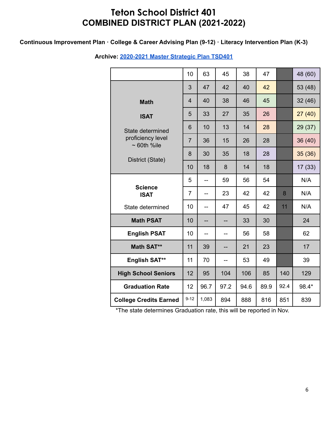### **Continuous Improvement Plan · College & Career Advising Plan (9-12) · Literacy Intervention Plan (K-3)**

|                                       | 10             | 63    | 45   | 38   | 47   |      | 48 (60) |
|---------------------------------------|----------------|-------|------|------|------|------|---------|
|                                       | 3              | 47    | 42   | 40   | 42   |      | 53 (48) |
| <b>Math</b>                           | $\overline{4}$ | 40    | 38   | 46   | 45   |      | 32(46)  |
| <b>ISAT</b>                           | 5              | 33    | 27   | 35   | 26   |      | 27(40)  |
| State determined                      | 6              | 10    | 13   | 14   | 28   |      | 29 (37) |
| proficiency level<br>$\sim$ 60th %ile | $\overline{7}$ | 36    | 15   | 26   | 28   |      | 36 (40) |
| District (State)                      | 8              | 30    | 35   | 18   | 28   |      | 35(36)  |
|                                       | 10             | 18    | 8    | 14   | 18   |      | 17(33)  |
|                                       | 5              | --    | 59   | 56   | 54   |      | N/A     |
| <b>Science</b><br><b>ISAT</b>         | $\overline{7}$ |       | 23   | 42   | 42   | 8    | N/A     |
| State determined                      | 10             | --    | 47   | 45   | 42   | 11   | N/A     |
| <b>Math PSAT</b>                      | 10             |       |      | 33   | 30   |      | 24      |
| <b>English PSAT</b>                   | 10             | --    |      | 56   | 58   |      | 62      |
| <b>Math SAT**</b>                     | 11             | 39    | --   | 21   | 23   |      | 17      |
| English SAT**                         | 11             | 70    | --   | 53   | 49   |      | 39      |
| <b>High School Seniors</b>            | 12             | 95    | 104  | 106  | 85   | 140  | 129     |
| <b>Graduation Rate</b>                | 12             | 96.7  | 97.2 | 94.6 | 89.9 | 92.4 | 98.4*   |
| <b>College Credits Earned</b>         | $9 - 12$       | 1,083 | 894  | 888  | 816  | 851  | 839     |

### **Archive: [2020-2021](https://tsd401.org/wp-content/plugins/download-attachments/includes/download.php?id=157515) Master Strategic Plan TSD401**

\*The state determines Graduation rate, this will be reported in Nov.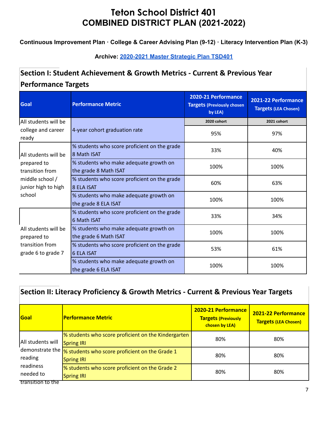## **Continuous Improvement Plan · College & Career Advising Plan (9-12) · Literacy Intervention Plan (K-3)**

## **Archive: [2020-2021](https://tsd401.org/wp-content/plugins/download-attachments/includes/download.php?id=157515) Master Strategic Plan TSD401**

# **Section I: Student Achievement & Growth Metrics - Current & Previous Year Performance Targets**

| <b>Goal</b>                                                                                                                                                                                               | <b>Performance Metric</b>                                         | 2020-21 Performance<br><b>Targets (Previously chosen</b><br>by LEA) | 2021-22 Performance<br><b>Targets (LEA Chosen)</b> |
|-----------------------------------------------------------------------------------------------------------------------------------------------------------------------------------------------------------|-------------------------------------------------------------------|---------------------------------------------------------------------|----------------------------------------------------|
| All students will be                                                                                                                                                                                      |                                                                   | 2020 cohort                                                         | 2021 cohort                                        |
| college and career<br>ready                                                                                                                                                                               | 4-year cohort graduation rate                                     | 95%                                                                 | 97%                                                |
| All students will be                                                                                                                                                                                      | % students who score proficient on the grade<br>8 Math ISAT       | 33%                                                                 | 40%                                                |
| % students who make adequate growth on<br>prepared to<br>the grade 8 Math ISAT<br>transition from<br>middle school /<br>% students who score proficient on the grade<br>junior high to high<br>8 ELA ISAT |                                                                   | 100%                                                                | 100%                                               |
|                                                                                                                                                                                                           |                                                                   | 60%                                                                 | 63%                                                |
| school                                                                                                                                                                                                    | % students who make adequate growth on<br>the grade 8 ELA ISAT    |                                                                     | 100%                                               |
| % students who score proficient on the grade<br><b>6 Math ISAT</b>                                                                                                                                        |                                                                   | 33%                                                                 | 34%                                                |
| All students will be<br>% students who make adequate growth on<br>the grade 6 Math ISAT<br>prepared to                                                                                                    |                                                                   | 100%                                                                | 100%                                               |
| transition from<br>grade 6 to grade 7                                                                                                                                                                     | % students who score proficient on the grade<br><b>6 ELA ISAT</b> |                                                                     | 61%                                                |
|                                                                                                                                                                                                           | % students who make adequate growth on<br>the grade 6 ELA ISAT    | 100%                                                                | 100%                                               |

# **Section II: Literacy Proficiency & Growth Metrics - Current & Previous Year Targets**

| <b>Goal</b>                | <b>Performance Metric</b>                                                | 2020-21 Performance<br><b>Targets (Previously</b><br>chosen by LEA) | 2021-22 Performance<br><b>Targets (LEA Chosen)</b> |
|----------------------------|--------------------------------------------------------------------------|---------------------------------------------------------------------|----------------------------------------------------|
| All students will          | S students who score proficient on the Kindergarten<br><b>Spring IRI</b> | 80%                                                                 | 80%                                                |
| demonstrate the<br>reading | % students who score proficient on the Grade 1<br><b>Spring IRI</b>      | 80%                                                                 | 80%                                                |
| readiness<br>needed to     | % students who score proficient on the Grade 2<br><b>Spring IRI</b>      | 80%                                                                 | 80%                                                |
| transition to the          |                                                                          |                                                                     |                                                    |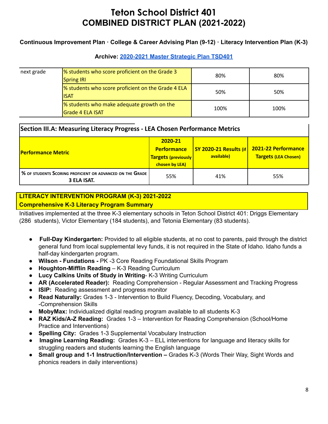### **Continuous Improvement Plan · College & Career Advising Plan (9-12) · Literacy Intervention Plan (K-3)**

### **Archive: [2020-2021](https://tsd401.org/wp-content/plugins/download-attachments/includes/download.php?id=157515) Master Strategic Plan TSD401**

| next grade | % students who score proficient on the Grade 3<br><b>Spring IRI</b>          | 80%  | 80%  |
|------------|------------------------------------------------------------------------------|------|------|
|            | <sup>8</sup> Students who score proficient on the Grade 4 ELA<br><b>ISAT</b> | 50%  | 50%  |
|            | <sup>8</sup> students who make adequate growth on the<br>Grade 4 ELA ISAT    | 100% | 100% |

### **Section III.A: Measuring Literacy Progress - LEA Chosen Performance Metrics**

| <b>Performance Metric</b>                                                | 2020-21<br><b>Performance</b><br><b>Targets (previously)</b><br>chosen by LEA) | $\sqrt{SY 2020-21}$ Results (if<br>available) | <b>2021-22 Performance</b><br><b>Targets (LEA Chosen)</b> |  |
|--------------------------------------------------------------------------|--------------------------------------------------------------------------------|-----------------------------------------------|-----------------------------------------------------------|--|
| % OF STUDENTS SCORING PROFICIENT OR ADVANCED ON THE GRADE<br>3 ELA ISAT. | 55%                                                                            | 41%                                           | 55%                                                       |  |

### **LITERACY INTERVENTION PROGRAM (K-3) 2021-2022 Comprehensive K-3 Literacy Program Summary**

Initiatives implemented at the three K-3 elementary schools in Teton School District 401: Driggs Elementary (286 students), Victor Elementary (184 students), and Tetonia Elementary (83 students).

- **Full-Day Kindergarten:** Provided to all eligible students, at no cost to parents, paid through the district general fund from local supplemental levy funds, it is not required in the State of Idaho. Idaho funds a half-day kindergarten program.
- **● Wilson - Fundations -** PK -3 Core Reading Foundational Skills Program
- **Houghton-Mifflin Reading** K-3 Reading Curriculum
- **Lucy Calkins Units of Study in Writing** K-3 Writing Curriculum
- **AR (Accelerated Reader):** Reading Comprehension Regular Assessment and Tracking Progress
- **ISIP:** Reading assessment and progress monitor
- **Read Naturally:** Grades 1-3 Intervention to Build Fluency, Decoding, Vocabulary, and -Comprehension Skills
- **● MobyMax:** Individualized digital reading program available to all students K-3
- **RAZ Kids/A-Z Reading:** Grades 1-3 Intervention for Reading Comprehension (School/Home Practice and Interventions)
- **Spelling City:** Grades 1-3 Supplemental Vocabulary Instruction
- **Imagine Learning Reading:** Grades K-3 ELL interventions for language and literacy skills for struggling readers and students learning the English language
- **Small group and 1-1 Instruction/Intervention –** Grades K-3 (Words Their Way, Sight Words and phonics readers in daily interventions)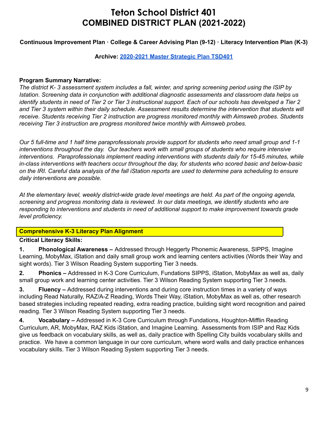**Continuous Improvement Plan · College & Career Advising Plan (9-12) · Literacy Intervention Plan (K-3)**

#### **Archive: [2020-2021](https://tsd401.org/wp-content/plugins/download-attachments/includes/download.php?id=157515) Master Strategic Plan TSD401**

#### **Program Summary Narrative:**

The district K-3 assessment system includes a fall, winter, and spring screening period using the ISIP by *Istation. Screening data in conjunction with additional diagnostic assessments and classroom data helps us* identify students in need of Tier 2 or Tier 3 instructional support. Each of our schools has developed a Tier 2 *and Tier 3 system within their daily schedule. Assessment results determine the intervention that students will receive. Students receiving Tier 2 instruction are progress monitored monthly with Aimsweb probes. Students receiving Tier 3 instruction are progress monitored twice monthly with Aimsweb probes.*

Our 5 full-time and 1 half time paraprofessionals provide support for students who need small group and 1-1 *interventions throughout the day. Our teachers work with small groups of students who require intensive interventions. Paraprofessionals implement reading interventions with students daily for 15-45 minutes, while in-class interventions with teachers occur throughout the day, for students who scored basic and below-basic* on the IRI. Careful data analysis of the fall iStation reports are used to determine para scheduling to ensure *daily interventions are possible.*

At the elementary level, weekly district-wide grade level meetings are held. As part of the ongoing agenda, *screening and progress monitoring data is reviewed. In our data meetings, we identify students who are responding to interventions and students in need of additional support to make improvement towards grade level proficiency.*

### **Comprehensive K-3 Literacy Plan Alignment**

### **Critical Literacy Skills:**

**1. Phonological Awareness –** Addressed through Heggerty Phonemic Awareness, SIPPS, Imagine Learning, MobyMax, iStation and daily small group work and learning centers activities (Words their Way and sight words). Tier 3 Wilson Reading System supporting Tier 3 needs.

**2. Phonics –** Addressed in K-3 Core Curriculum, Fundations SIPPS, iStation, MobyMax as well as, daily small group work and learning center activities. Tier 3 Wilson Reading System supporting Tier 3 needs.

**3. Fluency –** Addressed during interventions and during core instruction times in a variety of ways including Read Naturally, RAZ/A-Z Reading, Words Their Way, iStation, MobyMax as well as, other research based strategies including repeated reading, extra reading practice, building sight word recognition and paired reading. Tier 3 Wilson Reading System supporting Tier 3 needs.

**4. Vocabulary –** Addressed in K-3 Core Curriculum through Fundations, Houghton-Mifflin Reading Curriculum, AR, MobyMax, RAZ Kids iStation, and Imagine Learning. Assessments from ISIP and Raz Kids give us feedback on vocabulary skills, as well as, daily practice with Spelling City builds vocabulary skills and practice. We have a common language in our core curriculum, where word walls and daily practice enhances vocabulary skills. Tier 3 Wilson Reading System supporting Tier 3 needs.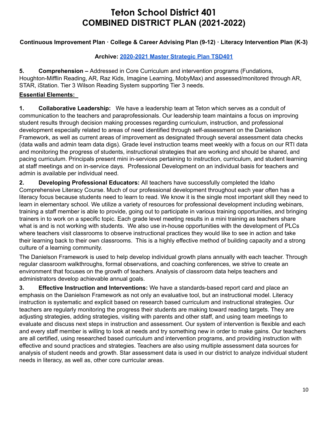### **Continuous Improvement Plan · College & Career Advising Plan (9-12) · Literacy Intervention Plan (K-3)**

### **Archive: [2020-2021](https://tsd401.org/wp-content/plugins/download-attachments/includes/download.php?id=157515) Master Strategic Plan TSD401**

**5. Comprehension –** Addressed in Core Curriculum and intervention programs (Fundations, Houghton-Mifflin Reading, AR, Raz Kids, Imagine Learning, MobyMax) and assessed/monitored through AR, STAR, iStation. Tier 3 Wilson Reading System supporting Tier 3 needs.

### **Essential Elements:**

**1. Collaborative Leadership:** We have a leadership team at Teton which serves as a conduit of communication to the teachers and paraprofessionals. Our leadership team maintains a focus on improving student results through decision making processes regarding curriculum, instruction, and professional development especially related to areas of need identified through self-assessment on the Danielson Framework, as well as current areas of improvement as designated through several assessment data checks (data walls and admin team data digs). Grade level instruction teams meet weekly with a focus on our RTI data and monitoring the progress of students, instructional strategies that are working and should be shared, and pacing curriculum. Principals present mini in-services pertaining to instruction, curriculum, and student learning at staff meetings and on in-service days. Professional Development on an individual basis for teachers and admin is available per individual need.

**2. Developing Professional Educators:** All teachers have successfully completed the Idaho Comprehensive Literacy Course. Much of our professional development throughout each year often has a literacy focus because students need to learn to read. We know it is the single most important skill they need to learn in elementary school. We utilize a variety of resources for professional development including webinars, training a staff member is able to provide, going out to participate in various training opportunities, and bringing trainers in to work on a specific topic. Each grade level meeting results in a mini training as teachers share what is and is not working with students. We also use in-house opportunities with the development of PLCs where teachers visit classrooms to observe instructional practices they would like to see in action and take their learning back to their own classrooms. This is a highly effective method of building capacity and a strong culture of a learning community.

The Danielson Framework is used to help develop individual growth plans annually with each teacher. Through regular classroom walkthroughs, formal observations, and coaching conferences, we strive to create an environment that focuses on the growth of teachers. Analysis of classroom data helps teachers and administrators develop achievable annual goals.

**3. Effective Instruction and Interventions:** We have a standards-based report card and place an emphasis on the Danielson Framework as not only an evaluative tool, but an instructional model. Literacy instruction is systematic and explicit based on research based curriculum and instructional strategies. Our teachers are regularly monitoring the progress their students are making toward reading targets. They are adjusting strategies, adding strategies, visiting with parents and other staff, and using team meetings to evaluate and discuss next steps in instruction and assessment. Our system of intervention is flexible and each and every staff member is willing to look at needs and try something new in order to make gains. Our teachers are all certified, using researched based curriculum and intervention programs, and providing instruction with effective and sound practices and strategies. Teachers are also using multiple assessment data sources for analysis of student needs and growth. Star assessment data is used in our district to analyze individual student needs in literacy, as well as, other core curricular areas.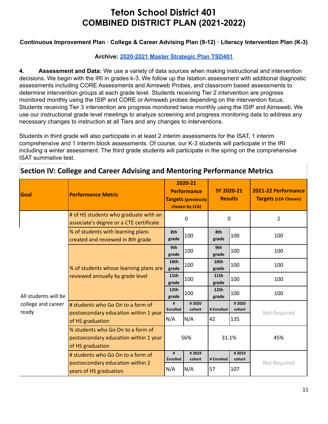### **Continuous Improvement Plan · College & Career Advising Plan (9-12) · Literacy Intervention Plan (K-3)**

### **Archive: [2020-2021](https://tsd401.org/wp-content/plugins/download-attachments/includes/download.php?id=157515) Master Strategic Plan TSD401**

**4. Assessment and Data:** We use a variety of data sources when making instructional and intervention decisions. We begin with the IRI in grades k-3. We follow up the Istation assessment with additional diagnostic assessments including CORE Assessments and Aimsweb Probes, and classroom based assessments to determine intervention groups at each grade level. Students receiving Tier 2 intervention are progress monitored monthly using the ISIP and CORE or Aimsweb probes depending on the intervention focus. Students receiving Tier 3 intervention are progress monitored twice monthly using the ISIP and Aimsweb. We use our instructional grade level meetings to analyze screening and progress monitoring data to address any necessary changes to instruction at all Tiers and any changes to interventions.

Students in third grade will also participate in at least 2 interim assessments for the ISAT, 1 interim comprehensive and 1 interim block assessments. Of course, our K-3 students will participate in the IRI including a winter assessment. The third grade students will participate in the spring on the comprehensive ISAT summative test.

| Goal                        | <b>Performance Metric</b>                                                                      | 2020-21<br><b>Performance</b><br><b>Targets (previously</b><br>chosen by LEA) |                 |               |                 |                |  | SY 2020-21<br><b>Results</b> |  | 2021-22 Performance<br><b>Targets (LEA Chosen)</b> |
|-----------------------------|------------------------------------------------------------------------------------------------|-------------------------------------------------------------------------------|-----------------|---------------|-----------------|----------------|--|------------------------------|--|----------------------------------------------------|
|                             | # of HS students who graduate with an<br>associate's degree or a CTE certificate               |                                                                               | $\Omega$        | 0             |                 | $\overline{2}$ |  |                              |  |                                                    |
|                             | % of students with learning plans<br>created and reviewed in 8th grade                         | 8th<br>grade                                                                  | 100             | 8th<br>grade  | 100             | 100            |  |                              |  |                                                    |
|                             | % of students whose learning plans are<br>reviewed annually by grade level                     | 9th<br>grade                                                                  | 100             | 9th<br>grade  | 100             | 100            |  |                              |  |                                                    |
|                             |                                                                                                | 10th<br>grade                                                                 | 100             | 10th<br>grade | 100             | 100            |  |                              |  |                                                    |
|                             |                                                                                                | 11th<br>grade                                                                 | 100             | 11th<br>grade | 100             | 100            |  |                              |  |                                                    |
| All students will be        |                                                                                                | 12th<br>grade                                                                 | 100             | 12th<br>grade | 100             | 100            |  |                              |  |                                                    |
| college and career<br>ready | # students who Go On to a form of<br>postsecondary education within 1 year                     | #<br><b>Enrolled</b>                                                          | #2020<br>cohort | # Enrolled    | #2020<br>cohort | Not Required   |  |                              |  |                                                    |
|                             | of HS graduation                                                                               | N/A                                                                           | N/A             | 42            | 135             |                |  |                              |  |                                                    |
|                             | % students who Go On to a form of<br>postsecondary education within 1 year<br>of HS graduation | 56%                                                                           |                 | 31.1%         |                 | 45%            |  |                              |  |                                                    |
|                             | # students who Go On to a form of<br>postsecondary education within 2                          | #<br><b>Enrolled</b>                                                          | #2019<br>cohort | # Enrolled    | #2019<br>cohort | Not Required   |  |                              |  |                                                    |
|                             | years of HS graduation                                                                         | N/A                                                                           | N/A             | 57            | 107             |                |  |                              |  |                                                    |

## **Section IV: College and Career Advising and Mentoring Performance Metrics**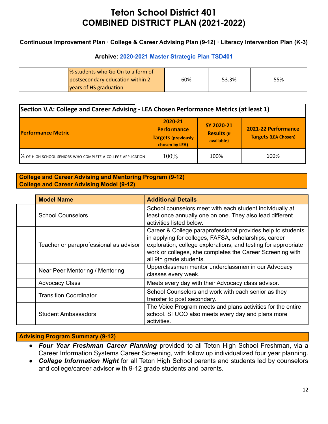### **Continuous Improvement Plan · College & Career Advising Plan (9-12) · Literacy Intervention Plan (K-3)**

### **Archive: [2020-2021](https://tsd401.org/wp-content/plugins/download-attachments/includes/download.php?id=157515) Master Strategic Plan TSD401**

| % students who Go On to a form of |     |       |     |
|-----------------------------------|-----|-------|-----|
| postsecondary education within 2  | 60% | 53.3% | 55% |
| vears of HS graduation            |     |       |     |

| Section V.A: College and Career Advising - LEA Chosen Performance Metrics (at least 1) |                                                                               |                                                |                                                    |  |  |
|----------------------------------------------------------------------------------------|-------------------------------------------------------------------------------|------------------------------------------------|----------------------------------------------------|--|--|
| <b>Performance Metric</b>                                                              | 2020-21<br><b>Performance</b><br><b>Targets (previously</b><br>chosen by LEA) | SY 2020-21<br><b>Results (if</b><br>available) | 2021-22 Performance<br><b>Targets (LEA Chosen)</b> |  |  |
| % OF HIGH SCHOOL SENIORS WHO COMPLETE A COLLEGE APPLICATION                            | 100%                                                                          | 100%                                           | 100%                                               |  |  |

#### **College and Career Advising and Mentoring Program (9-12) College and Career Advising Model (9-12)**

| <b>Model Name</b>                      | <b>Additional Details</b>                                                                                                                                                                                                                                                                                                                                                                                                          |  |  |  |
|----------------------------------------|------------------------------------------------------------------------------------------------------------------------------------------------------------------------------------------------------------------------------------------------------------------------------------------------------------------------------------------------------------------------------------------------------------------------------------|--|--|--|
| <b>School Counselors</b>               | School counselors meet with each student individually at<br>least once annually one on one. They also lead different<br>activities listed below.<br>Career & College paraprofessional provides help to students<br>in applying for colleges, FAFSA, scholarships, career<br>exploration, college explorations, and testing for appropriate<br>work or colleges, she completes the Career Screening with<br>all 9th grade students. |  |  |  |
| Teacher or paraprofessional as advisor |                                                                                                                                                                                                                                                                                                                                                                                                                                    |  |  |  |
| Near Peer Mentoring / Mentoring        | Upperclassmen mentor underclassmen in our Advocacy<br>classes every week.                                                                                                                                                                                                                                                                                                                                                          |  |  |  |
| <b>Advocacy Class</b>                  | Meets every day with their Advocacy class advisor.                                                                                                                                                                                                                                                                                                                                                                                 |  |  |  |
| <b>Transition Coordinator</b>          | School Counselors and work with each senior as they<br>transfer to post secondary.                                                                                                                                                                                                                                                                                                                                                 |  |  |  |
| <b>Student Ambassadors</b>             | The Voice Program meets and plans activities for the entire<br>school. STUCO also meets every day and plans more<br>activities.                                                                                                                                                                                                                                                                                                    |  |  |  |

### **Advising Program Summary (9-12)**

- *Four Year Freshman Career Planning* provided to all Teton High School Freshman, via a Career Information Systems Career Screening, with follow up individualized four year planning.
- *College Information Night* for all Teton High School parents and students led by counselors and college/career advisor with 9-12 grade students and parents.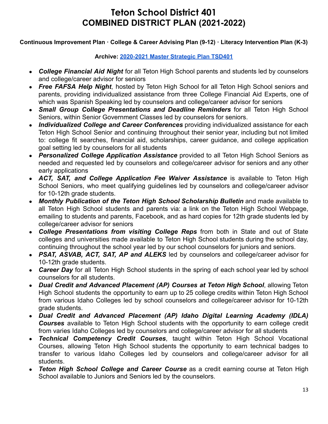### **Continuous Improvement Plan · College & Career Advising Plan (9-12) · Literacy Intervention Plan (K-3)**

### **Archive: [2020-2021](https://tsd401.org/wp-content/plugins/download-attachments/includes/download.php?id=157515) Master Strategic Plan TSD401**

- *College Financial Aid Night* for all Teton High School parents and students led by counselors and college/career advisor for seniors
- *Free FAFSA Help Night*, hosted by Teton High School for all Teton High School seniors and parents, providing individualized assistance from three College Financial Aid Experts, one of which was Spanish Speaking led by counselors and college/career advisor for seniors
- *Small Group College Presentations and Deadline Reminders* for all Teton High School Seniors, within Senior Government Classes led by counselors for seniors.
- *Individualized College and Career Conferences* providing individualized assistance for each Teton High School Senior and continuing throughout their senior year, including but not limited to: college fit searches, financial aid, scholarships, career guidance, and college application goal setting led by counselors for all students
- *Personalized College Application Assistance* provided to all Teton High School Seniors as needed and requested led by counselors and college/career advisor for seniors and any other early applications
- *ACT, SAT, and College Application Fee Waiver Assistance* is available to Teton High School Seniors, who meet qualifying guidelines led by counselors and college/career advisor for 10-12th grade students.
- *Monthly Publication of the Teton High School Scholarship Bulletin* and made available to all Teton High School students and parents via: a link on the Teton High School Webpage, emailing to students and parents, Facebook, and as hard copies for 12th grade students led by college/career advisor for seniors
- *College Presentations from visiting College Reps* from both in State and out of State colleges and universities made available to Teton High School students during the school day, continuing throughout the school year led by our school counselors for juniors and seniors.
- *PSAT, ASVAB, ACT, SAT, AP and ALEKS* led by counselors and college/career advisor for 10-12th grade students.
- **Career Day** for all Teton High School students in the spring of each school year led by school counselors for all students.
- *Dual Credit and Advanced Placement (AP) Courses at Teton High School*, allowing Teton High School students the opportunity to earn up to 25 college credits within Teton High School from various Idaho Colleges led by school counselors and college/career advisor for 10-12th grade students.
- *Dual Credit and Advanced Placement (AP) Idaho Digital Learning Academy (IDLA) Courses* available to Teton High School students with the opportunity to earn college credit from varies Idaho Colleges led by counselors and college/career advisor for all students
- *Technical Competency Credit Courses*, taught within Teton High School Vocational Courses, allowing Teton High School students the opportunity to earn technical badges to transfer to various Idaho Colleges led by counselors and college/career advisor for all students.
- *Teton High School College and Career Course* as a credit earning course at Teton High School available to Juniors and Seniors led by the counselors.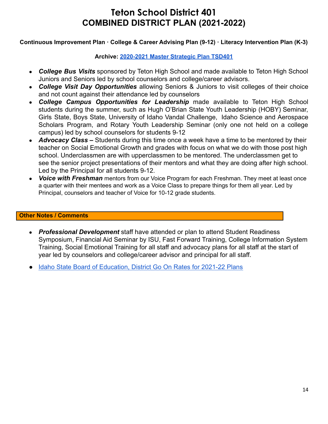### **Continuous Improvement Plan · College & Career Advising Plan (9-12) · Literacy Intervention Plan (K-3)**

### **Archive: [2020-2021](https://tsd401.org/wp-content/plugins/download-attachments/includes/download.php?id=157515) Master Strategic Plan TSD401**

- *College Bus Visits* sponsored by Teton High School and made available to Teton High School Juniors and Seniors led by school counselors and college/career advisors.
- *College Visit Day Opportunities* allowing Seniors & Juniors to visit colleges of their choice and not count against their attendance led by counselors
- *College Campus Opportunities for Leadership* made available to Teton High School students during the summer, such as Hugh O'Brian State Youth Leadership (HOBY) Seminar, Girls State, Boys State, University of Idaho Vandal Challenge, Idaho Science and Aerospace Scholars Program, and Rotary Youth Leadership Seminar (only one not held on a college campus) led by school counselors for students 9-12
- *Advocacy Class* Students during this time once a week have a time to be mentored by their teacher on Social Emotional Growth and grades with focus on what we do with those post high school. Underclassmen are with upperclassmen to be mentored. The underclassmen get to see the senior project presentations of their mentors and what they are doing after high school. Led by the Principal for all students 9-12.
- *Voice with Freshman* mentors from our Voice Program for each Freshman. They meet at least once a quarter with their mentees and work as a Voice Class to prepare things for them all year. Led by Principal, counselors and teacher of Voice for 10-12 grade students.

#### **Other Notes / Comments**

- *Professional Development* staff have attended or plan to attend Student Readiness Symposium, Financial Aid Seminar by ISU, Fast Forward Training, College Information System Training, Social Emotional Training for all staff and advocacy plans for all staff at the start of year led by counselors and college/career advisor and principal for all staff.
- [Idaho State Board of Education, District Go On Rates for 2021-22 Plans](https://boardofed.idaho.gov/resources/district-go-on-rates-for-2021-22-plans/)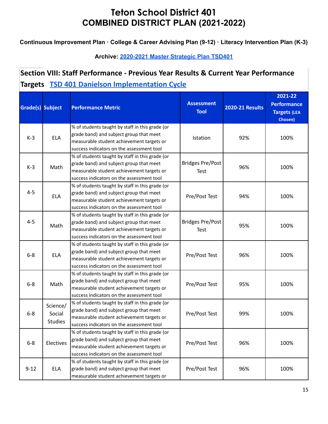**Continuous Improvement Plan · College & Career Advising Plan (9-12) · Literacy Intervention Plan (K-3)**

## **Archive: [2020-2021](https://tsd401.org/wp-content/plugins/download-attachments/includes/download.php?id=157515) Master Strategic Plan TSD401**

# **Section VIII: Staff Performance - Previous Year Results & Current Year Performance Targets [TSD 401 Danielson Implementation Cycle](https://docs.google.com/document/d/1oaF4u938oRM-c84xfsYwydNOBz9aYYJMK33P4Ub2IS4/edit?usp=sharing)**

| Grade(s) Subject |                                      | <b>Performance Metric</b>                                                                                                                                                            | <b>Assessment</b><br><b>Tool</b> | <b>2020-21 Results</b> | 2021-22<br><b>Performance</b><br><b>Targets (LEA</b><br>Chosen) |
|------------------|--------------------------------------|--------------------------------------------------------------------------------------------------------------------------------------------------------------------------------------|----------------------------------|------------------------|-----------------------------------------------------------------|
| $K-3$            | <b>ELA</b>                           | % of students taught by staff in this grade (or<br>grade band) and subject group that meet<br>measurable student achievement targets or<br>success indicators on the assessment tool | Istation                         | 92%                    | 100%                                                            |
| $K-3$            | Math                                 | % of students taught by staff in this grade (or<br>grade band) and subject group that meet<br>measurable student achievement targets or<br>success indicators on the assessment tool | <b>Bridges Pre/Post</b><br>Test  | 96%                    | 100%                                                            |
| $4 - 5$          | <b>ELA</b>                           | % of students taught by staff in this grade (or<br>grade band) and subject group that meet<br>measurable student achievement targets or<br>success indicators on the assessment tool | Pre/Post Test                    | 94%                    | 100%                                                            |
| $4 - 5$          | Math                                 | % of students taught by staff in this grade (or<br>grade band) and subject group that meet<br>measurable student achievement targets or<br>success indicators on the assessment tool | <b>Bridges Pre/Post</b><br>Test  | 95%                    | 100%                                                            |
| $6-8$            | <b>ELA</b>                           | % of students taught by staff in this grade (or<br>grade band) and subject group that meet<br>measurable student achievement targets or<br>success indicators on the assessment tool | Pre/Post Test                    | 96%                    | 100%                                                            |
| $6-8$            | Math                                 | % of students taught by staff in this grade (or<br>grade band) and subject group that meet<br>measurable student achievement targets or<br>success indicators on the assessment tool | Pre/Post Test                    | 95%                    | 100%                                                            |
| $6 - 8$          | Science/<br>Social<br><b>Studies</b> | % of students taught by staff in this grade (or<br>grade band) and subject group that meet<br>measurable student achievement targets or<br>success indicators on the assessment tool | Pre/Post Test                    | 99%                    | 100%                                                            |
| $6-8$            | Electives                            | % of students taught by staff in this grade (or<br>grade band) and subject group that meet<br>measurable student achievement targets or<br>success indicators on the assessment tool | Pre/Post Test                    | 96%                    | 100%                                                            |
| $9 - 12$         | <b>ELA</b>                           | % of students taught by staff in this grade (or<br>grade band) and subject group that meet<br>measurable student achievement targets or                                              | Pre/Post Test                    | 96%                    | 100%                                                            |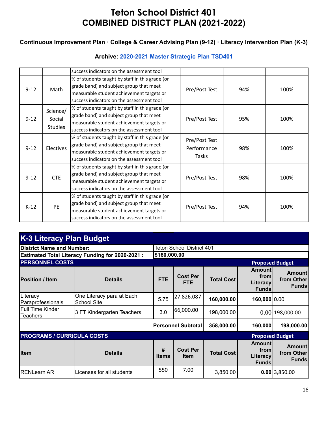### **Continuous Improvement Plan · College & Career Advising Plan (9-12) · Literacy Intervention Plan (K-3)**

## **Archive: [2020-2021](https://tsd401.org/wp-content/plugins/download-attachments/includes/download.php?id=157515) Master Strategic Plan TSD401**

|          |                                      | success indicators on the assessment tool                                                                                                                                            |                                       |     |      |
|----------|--------------------------------------|--------------------------------------------------------------------------------------------------------------------------------------------------------------------------------------|---------------------------------------|-----|------|
| $9 - 12$ | Math                                 | % of students taught by staff in this grade (or<br>grade band) and subject group that meet<br>measurable student achievement targets or<br>success indicators on the assessment tool | Pre/Post Test                         | 94% | 100% |
| $9 - 12$ | Science/<br>Social<br><b>Studies</b> | % of students taught by staff in this grade (or<br>grade band) and subject group that meet<br>measurable student achievement targets or<br>success indicators on the assessment tool | Pre/Post Test                         | 95% | 100% |
| $9 - 12$ | <b>Electives</b>                     | % of students taught by staff in this grade (or<br>grade band) and subject group that meet<br>measurable student achievement targets or<br>success indicators on the assessment tool | Pre/Post Test<br>Performance<br>Tasks | 98% | 100% |
| $9 - 12$ | <b>CTE</b>                           | % of students taught by staff in this grade (or<br>grade band) and subject group that meet<br>measurable student achievement targets or<br>success indicators on the assessment tool | Pre/Post Test                         | 98% | 100% |
| $K-12$   | PE                                   | % of students taught by staff in this grade (or<br>grade band) and subject group that meet<br>measurable student achievement targets or<br>success indicators on the assessment tool | Pre/Post Test                         | 94% | 100% |

| <b>K-3 Literacy Plan Budget</b>                        |                                                 |                   |                                  |                   |                                                   |                                             |  |  |
|--------------------------------------------------------|-------------------------------------------------|-------------------|----------------------------------|-------------------|---------------------------------------------------|---------------------------------------------|--|--|
| District Name and Number:                              |                                                 |                   | <b>Teton School District 401</b> |                   |                                                   |                                             |  |  |
| <b>Estimated Total Literacy Funding for 2020-2021:</b> |                                                 |                   | \$160,000.00                     |                   |                                                   |                                             |  |  |
| <b>PERSONNEL COSTS</b>                                 |                                                 |                   |                                  |                   |                                                   | <b>Proposed Budget</b>                      |  |  |
| <b>Position / Item</b>                                 | <b>Details</b>                                  | <b>FTE</b>        | <b>Cost Per</b><br><b>FTE</b>    | <b>Total Cost</b> | <b>Amount</b><br>from<br>Literacy<br><b>Funds</b> | <b>Amount</b><br>from Other<br><b>Funds</b> |  |  |
| Literacy<br>Paraprofessionals                          | One Literacy para at Each<br><b>School Site</b> | 5.75              | 27,826.087                       | 160,000.00        | 160,000 0.00                                      |                                             |  |  |
| lFull Time Kinder<br><b>Teachers</b>                   | 3 FT Kindergarten Teachers                      | 3.0               | 66,000.00                        | 198,000.00        |                                                   | $0.00$  198,000.00                          |  |  |
| <b>Personnel Subtotal</b>                              |                                                 |                   | 358,000.00                       | 160,000           | 198,000.00                                        |                                             |  |  |
| <b>PROGRAMS / CURRICULA COSTS</b>                      |                                                 |                   |                                  |                   |                                                   | <b>Proposed Budget</b>                      |  |  |
| <b>Item</b>                                            | <b>Details</b>                                  | #<br><b>Items</b> | <b>Cost Per</b><br><b>Item</b>   | <b>Total Cost</b> | <b>Amount</b><br>from<br>Literacy<br><b>Funds</b> | <b>Amount</b><br>from Other<br><b>Funds</b> |  |  |
| <b>RENLearn AR</b>                                     | Licenses for all students                       | 550               | 7.00                             | 3,850.00          |                                                   | $0.00$ 3,850.00                             |  |  |